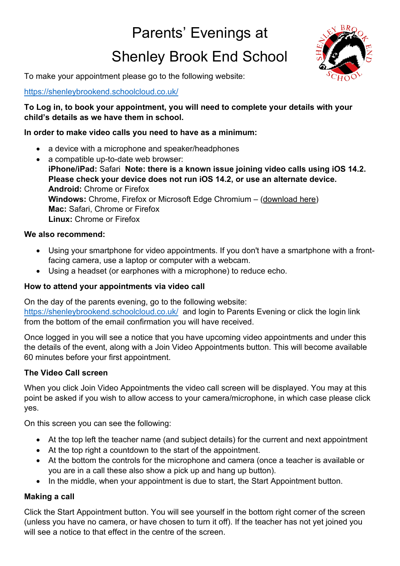# Parents' Evenings at

# Shenley Brook End School



To make your appointment please go to the following website:

## <https://shenleybrookend.schoolcloud.co.uk/>

## **To Log in, to book your appointment, you will need to complete your details with your child's details as we have them in school.**

### **In order to make video calls you need to have as a minimum:**

- a device with a microphone and speaker/headphones
- a compatible up-to-date web browser: **iPhone/iPad:** Safari **Note: there is a known issue joining video calls using iOS 14.2. Please check your device does not run iOS 14.2, or use an alternate device. Android:** Chrome or Firefox **Windows:** Chrome, Firefox or Microsoft Edge Chromium – [\(download here\)](https://www.microsoft.com/en-us/edge) **Mac:** Safari, Chrome or Firefox **Linux:** Chrome or Firefox

### **We also recommend:**

- Using your smartphone for video appointments. If you don't have a smartphone with a frontfacing camera, use a laptop or computer with a webcam.
- Using a headset (or earphones with a microphone) to reduce echo.

#### **How to attend your appointments via video call**

On the day of the parents evening, go to the following website:

<https://shenleybrookend.schoolcloud.co.uk/>and login to Parents Evening or click the login link from the bottom of the email confirmation you will have received.

Once logged in you will see a notice that you have upcoming video appointments and under this the details of the event, along with a Join Video Appointments button. This will become available 60 minutes before your first appointment.

#### **The Video Call screen**

When you click Join Video Appointments the video call screen will be displayed. You may at this point be asked if you wish to allow access to your camera/microphone, in which case please click yes.

On this screen you can see the following:

- At the top left the teacher name (and subject details) for the current and next appointment
- At the top right a countdown to the start of the appointment.
- At the bottom the controls for the microphone and camera (once a teacher is available or you are in a call these also show a pick up and hang up button).
- In the middle, when your appointment is due to start, the Start Appointment button.

## **Making a call**

Click the Start Appointment button. You will see yourself in the bottom right corner of the screen (unless you have no camera, or have chosen to turn it off). If the teacher has not yet joined you will see a notice to that effect in the centre of the screen.